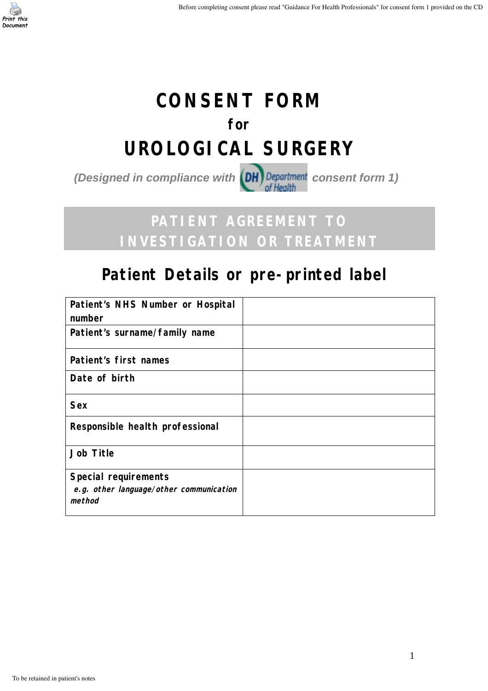

# **CONSENT FORM for UROLOGICAL SURGERY**

*(Designed in compliance with DH) Department consent form 1)* 

## **PATIENT AGREEMENT TO INVESTIGATION OR TREATMENT**

## **Patient Details or pre-printed label**

| Patient's NHS Number or Hospital<br>number                                |  |
|---------------------------------------------------------------------------|--|
| Patient's surname/family name                                             |  |
| Patient's first names                                                     |  |
| Date of birth                                                             |  |
| <b>Sex</b>                                                                |  |
| Responsible health professional                                           |  |
| <b>Job Title</b>                                                          |  |
| Special requirements<br>e.g. other language/other communication<br>method |  |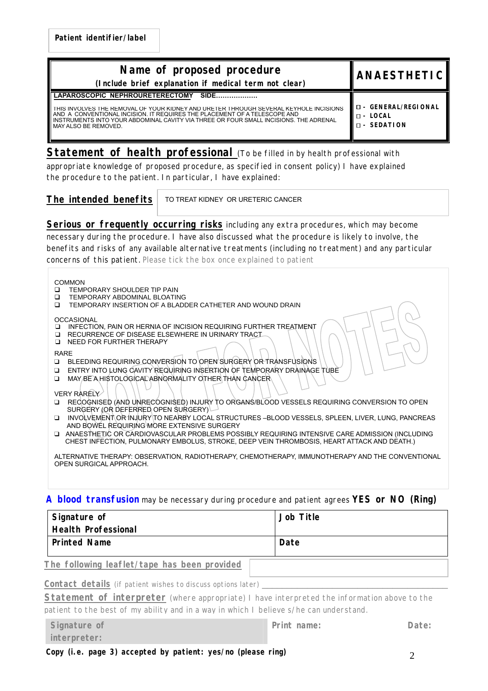#### **Name of proposed procedure (Include brief explanation if medical term not clear) ANAESTHETIC - GENERAL/REGIONAL - LOCAL - SEDATION LAPAROSCOPIC NEPHROURETERECTOMY SIDE……………….** THIS INVOLVES THE REMOVAL OF YOUR KIDNEY AND URETER THROUGH SEVERAL KEYHOLE INCISIONS<br>AND A CONVENTIONAL INCISION. IT REQUIRES THE PLACEMENT OF A TELESCOPE AND<br>INSTRUMENTS INTO YOUR ABDOMINAL CAVITY VIA THREE OR FOUR SMA MAY ALSO BE REMOVED.

### **Statement of health professional** (To be filled in by health professional with

appropriate knowledge of proposed procedure, as specified in consent policy) I have explained the procedure to the patient. In particular, I have explained:

#### **The intended benefits**

TO TREAT KIDNEY OR URETERIC CANCER

**Serious or frequently occurring risks** including any extra procedures, which may become necessary during the procedure. I have also discussed what the procedure is likely to involve, the benefits and risks of any available alternative treatments (including no treatment) and any particular concerns of this patient. Please tick the box once explained to patient

COMMON

- TEMPORARY SHOULDER TIP PAIN
- TEMPORARY ABDOMINAL BLOATING
- TEMPORARY INSERTION OF A BLADDER CATHETER AND WOUND DRAIN

**OCCASIONAL** 

- ❑ INFECTION, PAIN OR HERNIA OF INCISION REQUIRING FURTHER TREATMENT
- ❑ RECURRENCE OF DISEASE ELSEWHERE IN URINARY TRACT
- ❑ NEED FOR FURTHER THERAPY

RARE

- ❑ BLEEDING REQUIRING CONVERSION TO OPEN SURGERY OR TRANSFUSIONS
- ❑ ENTRY INTO LUNG CAVITY REQUIRING INSERTION OF TEMPORARY DRAINAGE TUBE
- ❑ MAY BE A HISTOLOGICAL ABNORMALITY OTHER THAN CANCER

VERY RARELY

- ❑ RECOGNISED (AND UNRECOGNISED) INJURY TO ORGANS/BLOOD VESSELS REQUIRING CONVERSION TO OPEN SURGERY (OR DEFERRED OPEN SURGERY)
- ❑ INVOLVEMENT OR INJURY TO NEARBY LOCAL STRUCTURES –BLOOD VESSELS, SPLEEN, LIVER, LUNG, PANCREAS AND BOWEL REQUIRING MORE EXTENSIVE SURGERY
- ❑ ANAESTHETIC OR CARDIOVASCULAR PROBLEMS POSSIBLY REQUIRING INTENSIVE CARE ADMISSION (INCLUDING CHEST INFECTION, PULMONARY EMBOLUS, STROKE, DEEP VEIN THROMBOSIS, HEART ATTACK AND DEATH.)

ALTERNATIVE THERAPY: OBSERVATION, RADIOTHERAPY, CHEMOTHERAPY, IMMUNOTHERAPY AND THE CONVENTIONAL OPEN SURGICAL APPROACH.

**A blood transfusion** may be necessary during procedure and patient agrees **YES or NO (Ring)**

| Signature of               | Job Title |
|----------------------------|-----------|
| <b>Health Professional</b> |           |
| Printed Name               | Date      |
|                            |           |

**The following leaflet/tape has been provided**

**Contact details** (if patient wishes to discuss options later)

**Statement of interpreter** (where appropriate) I have interpreted the information above to the patient to the best of my ability and in a way in which I believe s/he can understand.

| Signature of |  |
|--------------|--|
| interpreter: |  |

| Print name: | Date: |
|-------------|-------|
|-------------|-------|

**Copy (i.e. page 3) accepted by patient: yes/no (please ring)**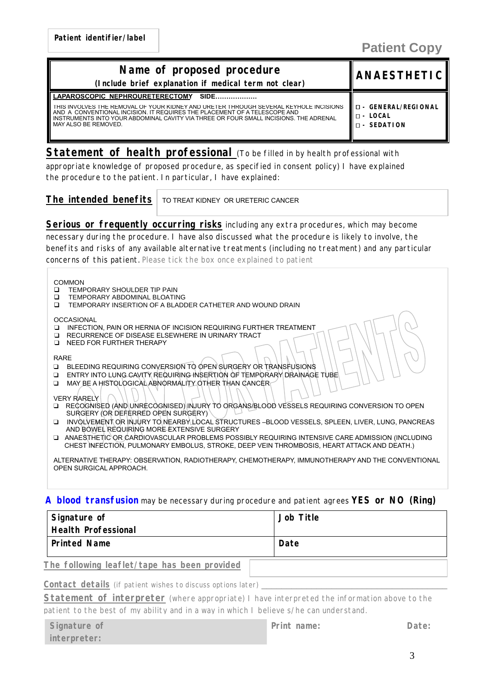**Patient identifier/label** 

## **Patient Copy**

| Name of proposed procedure<br>(Include brief explanation if medical term not clear)                                                                                                                                                                                                                                         | ANAESTHETIC'                                  |
|-----------------------------------------------------------------------------------------------------------------------------------------------------------------------------------------------------------------------------------------------------------------------------------------------------------------------------|-----------------------------------------------|
| LAPAROSCOPIC NEPHROURETERECTOMY SIDE<br>THIS INVOLVES THE REMOVAL OF YOUR KIDNEY AND URETER THROUGH SEVERAL KEYHOLE INCISIONS<br>AND A CONVENTIONAL INCISION. IT REQUIRES THE PLACEMENT OF A TELESCOPE AND<br>INSTRUMENTS INTO YOUR ABDOMINAL CAVITY VIA THREE OR FOUR SMALL INCISIONS. THE ADRENAL<br>MAY ALSO BE REMOVED. | - GENERAL/REGIONAL<br>$-$ LOCAL<br>- SEDATION |

### **Statement of health professional** (To be filled in by health professional with

appropriate knowledge of proposed procedure, as specified in consent policy) I have explained the procedure to the patient. In particular, I have explained:

**The intended benefits**

TO TREAT KIDNEY OR URETERIC CANCER

**Serious or frequently occurring risks** including any extra procedures, which may become necessary during the procedure. I have also discussed what the procedure is likely to involve, the benefits and risks of any available alternative treatments (including no treatment) and any particular concerns of this patient. Please tick the box once explained to patient

**COMMON** 

- **INDUITEMPORARY SHOULDER TIP PAIN**
- **TEMPORARY ABDOMINAL BLOATING**
- TEMPORARY INSERTION OF A BLADDER CATHETER AND WOUND DRAIN

**OCCASIONAL** 

- ❑ INFECTION, PAIN OR HERNIA OF INCISION REQUIRING FURTHER TREATMENT
- ❑ RECURRENCE OF DISEASE ELSEWHERE IN URINARY TRACT
- ❑ NEED FOR FURTHER THERAPY

RARE

- ❑ BLEEDING REQUIRING CONVERSION TO OPEN SURGERY OR TRANSFUSIONS
- ❑ ENTRY INTO LUNG CAVITY REQUIRING INSERTION OF TEMPORARY DRAINAGE TUBE
- ❑ MAY BE A HISTOLOGICAL ABNORMALITY OTHER THAN CANCER

VERY RARELY

- ❑ RECOGNISED (AND UNRECOGNISED) INJURY TO ORGANS/BLOOD VESSELS REQUIRING CONVERSION TO OPEN SURGERY (OR DEFERRED OPEN SURGERY)
- ❑ INVOLVEMENT OR INJURY TO NEARBY LOCAL STRUCTURES –BLOOD VESSELS, SPLEEN, LIVER, LUNG, PANCREAS AND BOWEL REQUIRING MORE EXTENSIVE SURGERY
- ❑ ANAESTHETIC OR CARDIOVASCULAR PROBLEMS POSSIBLY REQUIRING INTENSIVE CARE ADMISSION (INCLUDING CHEST INFECTION, PULMONARY EMBOLUS, STROKE, DEEP VEIN THROMBOSIS, HEART ATTACK AND DEATH.)

ALTERNATIVE THERAPY: OBSERVATION, RADIOTHERAPY, CHEMOTHERAPY, IMMUNOTHERAPY AND THE CONVENTIONAL OPEN SURGICAL APPROACH.

**A blood transfusion** may be necessary during procedure and patient agrees **YES or NO (Ring)**

| Signature of                                 | Job Title |
|----------------------------------------------|-----------|
| Health Professional                          |           |
| <b>Printed Name</b>                          | Date      |
| The following leaflet/tape has been provided |           |

**Contact details** (if patient wishes to discuss options later)

**Statement of interpreter** (where appropriate) I have interpreted the information above to the patient to the best of my ability and in a way in which I believe s/he can understand.

| Signature of |
|--------------|
| interpreter: |

| Print name: | Date: |
|-------------|-------|
|-------------|-------|